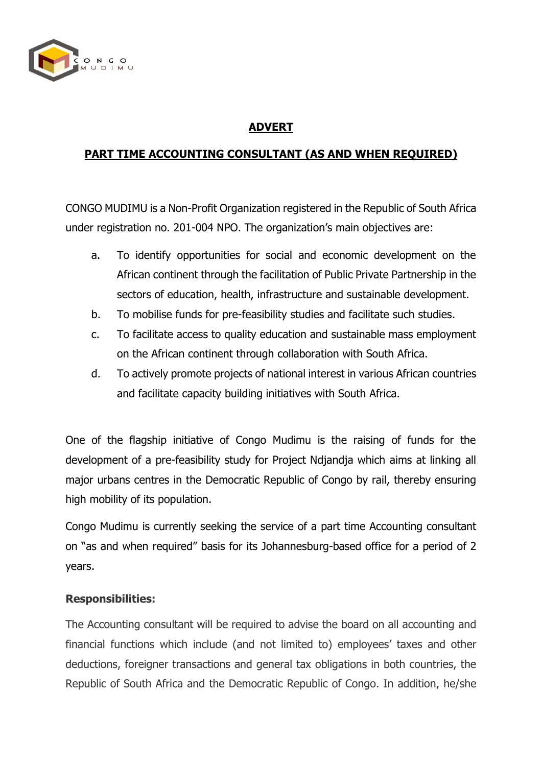

# **ADVERT**

## **PART TIME ACCOUNTING CONSULTANT (AS AND WHEN REQUIRED)**

CONGO MUDIMU is a Non-Profit Organization registered in the Republic of South Africa under registration no. 201-004 NPO. The organization's main objectives are:

- a. To identify opportunities for social and economic development on the African continent through the facilitation of Public Private Partnership in the sectors of education, health, infrastructure and sustainable development.
- b. To mobilise funds for pre-feasibility studies and facilitate such studies.
- c. To facilitate access to quality education and sustainable mass employment on the African continent through collaboration with South Africa.
- d. To actively promote projects of national interest in various African countries and facilitate capacity building initiatives with South Africa.

One of the flagship initiative of Congo Mudimu is the raising of funds for the development of a pre-feasibility study for Project Ndjandja which aims at linking all major urbans centres in the Democratic Republic of Congo by rail, thereby ensuring high mobility of its population.

Congo Mudimu is currently seeking the service of a part time Accounting consultant on "as and when required" basis for its Johannesburg-based office for a period of 2 years.

### **Responsibilities:**

The Accounting consultant will be required to advise the board on all accounting and financial functions which include (and not limited to) employees' taxes and other deductions, foreigner transactions and general tax obligations in both countries, the Republic of South Africa and the Democratic Republic of Congo. In addition, he/she